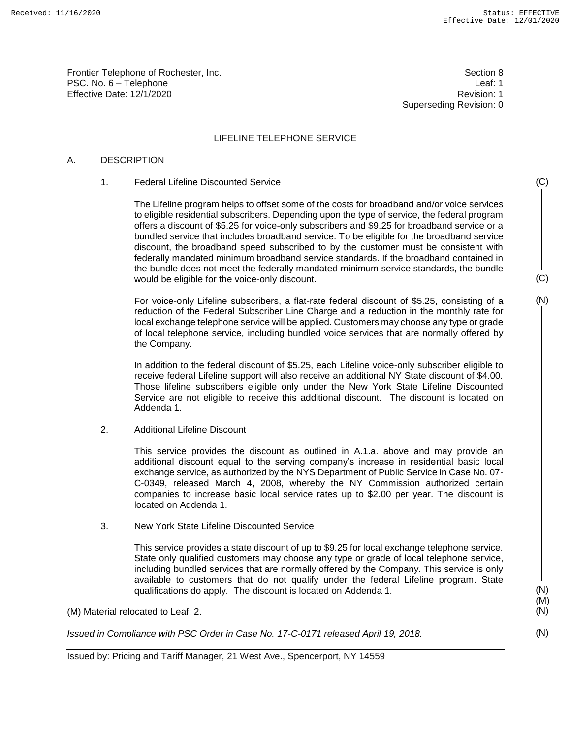Frontier Telephone of Rochester, Inc. Section 8 and the section 8 section 8 PSC. No. 6 – Telephone Leaf: 1 Effective Date: 12/1/2020 Revision: 1

Superseding Revision: 0

# LIFELINE TELEPHONE SERVICE

## A. DESCRIPTION

1. Federal Lifeline Discounted Service

The Lifeline program helps to offset some of the costs for broadband and/or voice services to eligible residential subscribers. Depending upon the type of service, the federal program offers a discount of \$5.25 for voice-only subscribers and \$9.25 for broadband service or a bundled service that includes broadband service. To be eligible for the broadband service discount, the broadband speed subscribed to by the customer must be consistent with federally mandated minimum broadband service standards. If the broadband contained in the bundle does not meet the federally mandated minimum service standards, the bundle would be eligible for the voice-only discount.

For voice-only Lifeline subscribers, a flat-rate federal discount of \$5.25, consisting of a reduction of the Federal Subscriber Line Charge and a reduction in the monthly rate for local exchange telephone service will be applied. Customers may choose any type or grade of local telephone service, including bundled voice services that are normally offered by the Company.

In addition to the federal discount of \$5.25, each Lifeline voice-only subscriber eligible to receive federal Lifeline support will also receive an additional NY State discount of \$4.00. Those lifeline subscribers eligible only under the New York State Lifeline Discounted Service are not eligible to receive this additional discount. The discount is located on Addenda 1.

2. Additional Lifeline Discount

This service provides the discount as outlined in A.1.a. above and may provide an additional discount equal to the serving company's increase in residential basic local exchange service, as authorized by the NYS Department of Public Service in Case No. 07- C-0349, released March 4, 2008, whereby the NY Commission authorized certain companies to increase basic local service rates up to \$2.00 per year. The discount is located on Addenda 1.

3. New York State Lifeline Discounted Service

This service provides a state discount of up to \$9.25 for local exchange telephone service. State only qualified customers may choose any type or grade of local telephone service, including bundled services that are normally offered by the Company. This service is only available to customers that do not qualify under the federal Lifeline program. State qualifications do apply. The discount is located on Addenda 1.

(M) Material relocated to Leaf: 2.

*Issued in Compliance with PSC Order in Case No. 17-C-0171 released April 19, 2018.*

Issued by: Pricing and Tariff Manager, 21 West Ave., Spencerport, NY 14559

 $(C)$ 

(C)

(N)

(N) (M) (N)

(N)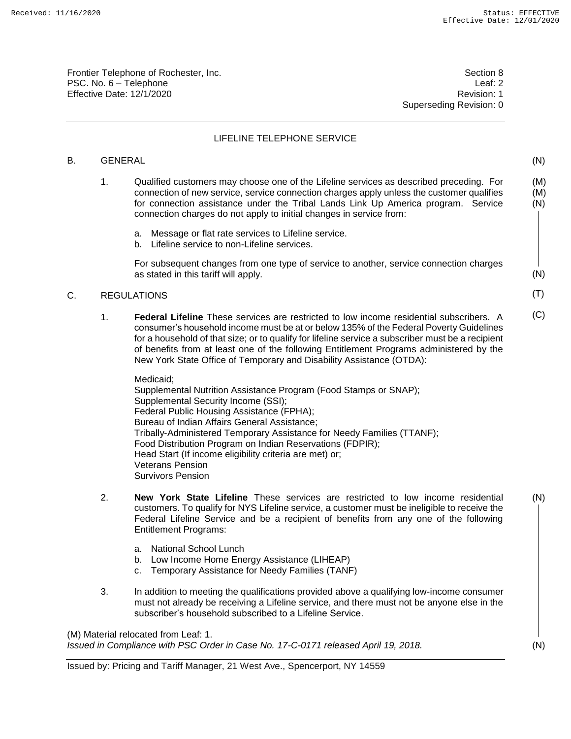Frontier Telephone of Rochester, Inc. Section 8 and the section 8 section 8 PSC. No. 6 – Telephone Leaf: 2 Effective Date: 12/1/2020 Revision: 1

Superseding Revision: 0

## LIFELINE TELEPHONE SERVICE

#### B. GENERAL

- 1. Qualified customers may choose one of the Lifeline services as described preceding. For connection of new service, service connection charges apply unless the customer qualifies for connection assistance under the Tribal Lands Link Up America program. Service connection charges do not apply to initial changes in service from: (M) (M) (N)
	- a. Message or flat rate services to Lifeline service.
	- b. Lifeline service to non-Lifeline services.

For subsequent changes from one type of service to another, service connection charges as stated in this tariff will apply.

## C. REGULATIONS

1. **Federal Lifeline** These services are restricted to low income residential subscribers. A consumer's household income must be at or below 135% of the Federal Poverty Guidelines for a household of that size; or to qualify for lifeline service a subscriber must be a recipient of benefits from at least one of the following Entitlement Programs administered by the New York State Office of Temporary and Disability Assistance (OTDA):

Medicaid; Supplemental Nutrition Assistance Program (Food Stamps or SNAP); Supplemental Security Income (SSI); Federal Public Housing Assistance (FPHA); Bureau of Indian Affairs General Assistance; Tribally-Administered Temporary Assistance for Needy Families (TTANF); Food Distribution Program on Indian Reservations (FDPIR); Head Start (If income eligibility criteria are met) or; Veterans Pension Survivors Pension

- 2. **New York State Lifeline** These services are restricted to low income residential customers. To qualify for NYS Lifeline service, a customer must be ineligible to receive the Federal Lifeline Service and be a recipient of benefits from any one of the following Entitlement Programs: (N)
	- a. National School Lunch
	- b. Low Income Home Energy Assistance (LIHEAP)
	- c. Temporary Assistance for Needy Families (TANF)
- 3. In addition to meeting the qualifications provided above a qualifying low-income consumer must not already be receiving a Lifeline service, and there must not be anyone else in the subscriber's household subscribed to a Lifeline Service.

(M) Material relocated from Leaf: 1. *Issued in Compliance with PSC Order in Case No. 17-C-0171 released April 19, 2018.*

(N)

Issued by: Pricing and Tariff Manager, 21 West Ave., Spencerport, NY 14559

(N)

(N)

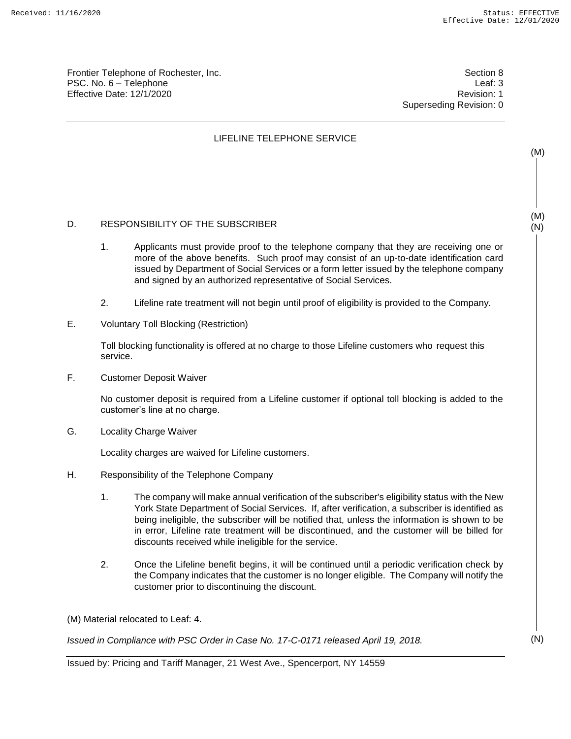Frontier Telephone of Rochester, Inc. Section 8 and the section 8 section 8 PSC. No. 6 – Telephone Leaf: 3 Effective Date: 12/1/2020 Revision: 1

Superseding Revision: 0

## LIFELINE TELEPHONE SERVICE

## D. RESPONSIBILITY OF THE SUBSCRIBER

- 1. Applicants must provide proof to the telephone company that they are receiving one or more of the above benefits. Such proof may consist of an up-to-date identification card issued by Department of Social Services or a form letter issued by the telephone company and signed by an authorized representative of Social Services.
- 2. Lifeline rate treatment will not begin until proof of eligibility is provided to the Company.
- E. Voluntary Toll Blocking (Restriction)

Toll blocking functionality is offered at no charge to those Lifeline customers who request this service.

F. Customer Deposit Waiver

No customer deposit is required from a Lifeline customer if optional toll blocking is added to the customer's line at no charge.

G. Locality Charge Waiver

Locality charges are waived for Lifeline customers.

- H. Responsibility of the Telephone Company
	- 1. The company will make annual verification of the subscriber's eligibility status with the New York State Department of Social Services. If, after verification, a subscriber is identified as being ineligible, the subscriber will be notified that, unless the information is shown to be in error, Lifeline rate treatment will be discontinued, and the customer will be billed for discounts received while ineligible for the service.
	- 2. Once the Lifeline benefit begins, it will be continued until a periodic verification check by the Company indicates that the customer is no longer eligible. The Company will notify the customer prior to discontinuing the discount.

(M) Material relocated to Leaf: 4.

*Issued in Compliance with PSC Order in Case No. 17-C-0171 released April 19, 2018.*

Issued by: Pricing and Tariff Manager, 21 West Ave., Spencerport, NY 14559

(M) (N)

(M)